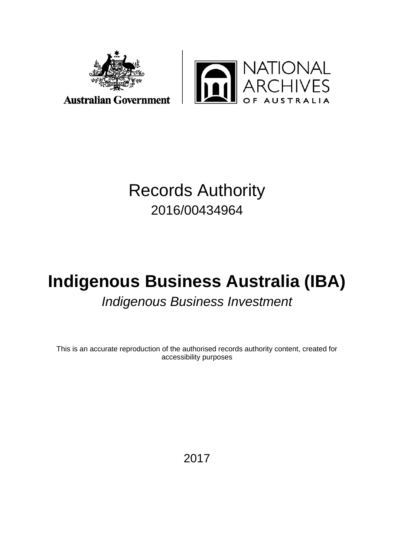



## Records Authority 2016/00434964

# **Indigenous Business Australia (IBA)** *Indigenous Business Investment*

This is an accurate reproduction of the authorised records authority content, created for accessibility purposes

2017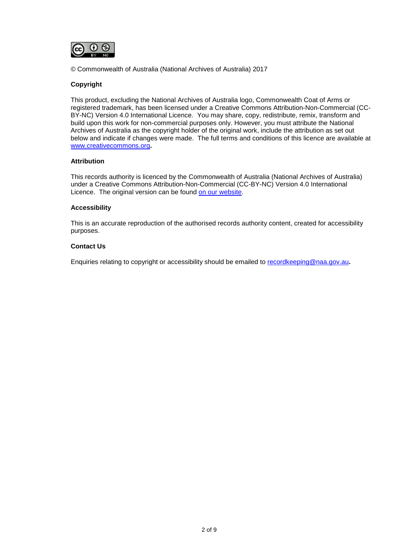

© Commonwealth of Australia (National Archives of Australia) 2017

#### **Copyright**

This product, excluding the National Archives of Australia logo, Commonwealth Coat of Arms or registered trademark, has been licensed under a Creative Commons Attribution-Non-Commercial (CC-BY-NC) Version 4.0 International Licence. You may share, copy, redistribute, remix, transform and build upon this work for non-commercial purposes only. However, you must attribute the National Archives of Australia as the copyright holder of the original work, include the attribution as set out below and indicate if changes were made. The full terms and conditions of this licence are available at [www.creativecommons.org](http://www.creativecommons.org/)**.**

#### **Attribution**

This records authority is licenced by the Commonwealth of Australia (National Archives of Australia) under a Creative Commons Attribution-Non-Commercial (CC-BY-NC) Version 4.0 International Licence. The original version can be found [on our website.](http://www.naa.gov.au/)

#### **Accessibility**

This is an accurate reproduction of the authorised records authority content, created for accessibility purposes.

#### **Contact Us**

Enquiries relating to copyright or accessibility should be emailed to [recordkeeping@naa.gov.au](mailto:recordkeeping@naa.gov.au)**.**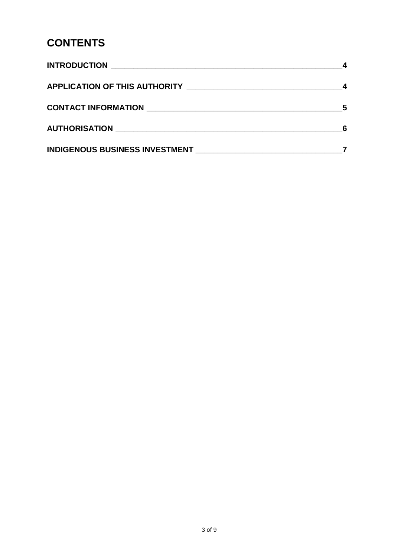### **CONTENTS**

| INDIGENOUS BUSINESS INVESTMENT NAMEL AND RESERVE AND RESERVE AND RESERVE AND RESERVE AND RESERVE AND RESERVE A |  |
|----------------------------------------------------------------------------------------------------------------|--|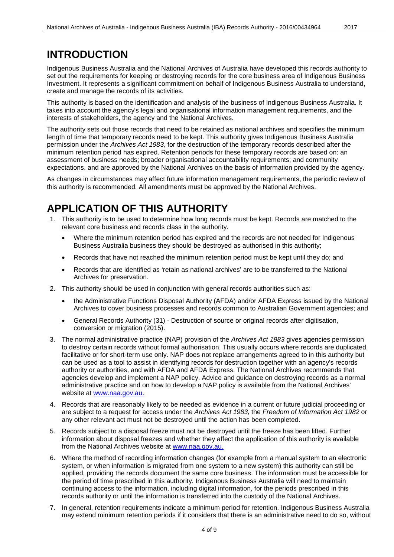### <span id="page-3-0"></span>**INTRODUCTION**

Indigenous Business Australia and the National Archives of Australia have developed this records authority to set out the requirements for keeping or destroying records for the core business area of Indigenous Business Investment. It represents a significant commitment on behalf of Indigenous Business Australia to understand, create and manage the records of its activities.

This authority is based on the identification and analysis of the business of Indigenous Business Australia. It takes into account the agency's legal and organisational information management requirements, and the interests of stakeholders, the agency and the National Archives.

The authority sets out those records that need to be retained as national archives and specifies the minimum length of time that temporary records need to be kept. This authority gives Indigenous Business Australia permission under the *Archives Act 1983*, for the destruction of the temporary records described after the minimum retention period has expired. Retention periods for these temporary records are based on: an assessment of business needs; broader organisational accountability requirements; and community expectations, and are approved by the National Archives on the basis of information provided by the agency.

As changes in circumstances may affect future information management requirements, the periodic review of this authority is recommended. All amendments must be approved by the National Archives.

### <span id="page-3-1"></span>**APPLICATION OF THIS AUTHORITY**

- 1. This authority is to be used to determine how long records must be kept. Records are matched to the relevant core business and records class in the authority.
	- Where the minimum retention period has expired and the records are not needed for Indigenous Business Australia business they should be destroyed as authorised in this authority;
	- Records that have not reached the minimum retention period must be kept until they do; and
	- Records that are identified as 'retain as national archives' are to be transferred to the National Archives for preservation.
- 2. This authority should be used in conjunction with general records authorities such as:
	- the Administrative Functions Disposal Authority (AFDA) and/or AFDA Express issued by the National Archives to cover business processes and records common to Australian Government agencies; and
	- General Records Authority (31) Destruction of source or original records after digitisation, conversion or migration (2015).
- 3. The normal administrative practice (NAP) provision of the *Archives Act 1983* gives agencies permission to destroy certain records without formal authorisation. This usually occurs where records are duplicated, facilitative or for short-term use only. NAP does not replace arrangements agreed to in this authority but can be used as a tool to assist in identifying records for destruction together with an agency's records authority or authorities, and with AFDA and AFDA Express. The National Archives recommends that agencies develop and implement a NAP policy. Advice and guidance on destroying records as a normal administrative practice and on how to develop a NAP policy is available from the National Archives' website at [www.naa.gov.au.](http://www.naa.gov.au/)
- 4. Records that are reasonably likely to be needed as evidence in a current or future judicial proceeding or are subject to a request for access under the *Archives Act 1983,* the *Freedom of Information Act 1982* or any other relevant act must not be destroyed until the action has been completed.
- 5. Records subject to a disposal freeze must not be destroyed until the freeze has been lifted. Further information about disposal freezes and whether they affect the application of this authority is available from the National Archives website at [www.naa.gov.au.](http://www.naa.gov.au/)
- 6. Where the method of recording information changes (for example from a manual system to an electronic system, or when information is migrated from one system to a new system) this authority can still be applied, providing the records document the same core business. The information must be accessible for the period of time prescribed in this authority. Indigenous Business Australia will need to maintain continuing access to the information, including digital information, for the periods prescribed in this records authority or until the information is transferred into the custody of the National Archives.
- 7. In general, retention requirements indicate a minimum period for retention. Indigenous Business Australia may extend minimum retention periods if it considers that there is an administrative need to do so, without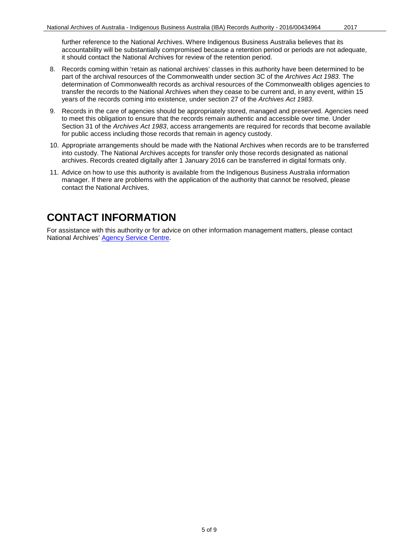- 8. Records coming within 'retain as national archives' classes in this authority have been determined to be part of the archival resources of the Commonwealth under section 3C of the *Archives Act 1983*. The determination of Commonwealth records as archival resources of the Commonwealth obliges agencies to transfer the records to the National Archives when they cease to be current and, in any event, within 15 years of the records coming into existence, under section 27 of the *Archives Act 1983*.
- 9. Records in the care of agencies should be appropriately stored, managed and preserved. Agencies need to meet this obligation to ensure that the records remain authentic and accessible over time. Under Section 31 of the *Archives Act 1983*, access arrangements are required for records that become available for public access including those records that remain in agency custody.
- 10. Appropriate arrangements should be made with the National Archives when records are to be transferred into custody. The National Archives accepts for transfer only those records designated as national archives. Records created digitally after 1 January 2016 can be transferred in digital formats only.
- 11. Advice on how to use this authority is available from the Indigenous Business Australia information manager. If there are problems with the application of the authority that cannot be resolved, please contact the National Archives.

### <span id="page-4-0"></span>**CONTACT INFORMATION**

For assistance with this authority or for advice on other information management matters, please contact National Archives' [Agency Service Centre.](http://reftracker.naa.gov.au/reft000.aspx?pmi=jpGkKEm4vT)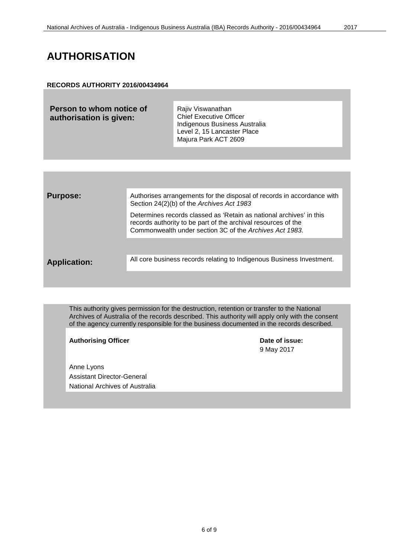#### <span id="page-5-0"></span>**RECORDS AUTHORITY 2016/00434964**

| Person to whom notice of<br>authorisation is given: | Rajiv Viswanathan<br><b>Chief Executive Officer</b><br>Indigenous Business Australia<br>Level 2, 15 Lancaster Place<br>Majura Park ACT 2609 |
|-----------------------------------------------------|---------------------------------------------------------------------------------------------------------------------------------------------|
|-----------------------------------------------------|---------------------------------------------------------------------------------------------------------------------------------------------|

| <b>Purpose:</b>     | Authorises arrangements for the disposal of records in accordance with<br>Section 24(2)(b) of the Archives Act 1983                                                                             |
|---------------------|-------------------------------------------------------------------------------------------------------------------------------------------------------------------------------------------------|
|                     | Determines records classed as 'Retain as national archives' in this<br>records authority to be part of the archival resources of the<br>Commonwealth under section 3C of the Archives Act 1983. |
|                     |                                                                                                                                                                                                 |
| <b>Application:</b> | All core business records relating to Indigenous Business Investment.                                                                                                                           |
|                     |                                                                                                                                                                                                 |

This authority gives permission for the destruction, retention or transfer to the National Archives of Australia of the records described. This authority will apply only with the consent of the agency currently responsible for the business documented in the records described.

Authorising Officer **Contract Contract Contract Contract Contract Contract Contract Contract Contract Contract Contract Contract Contract Contract Contract Contract Contract Contract Contract Contract Contract Contract Con** 

Anne Lyons Assistant Director-General National Archives of Australia 9 May 2017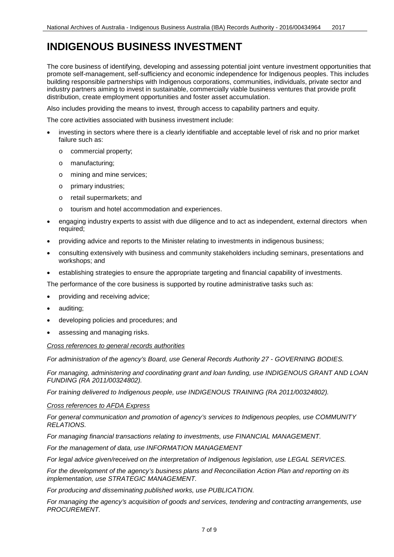### <span id="page-6-0"></span>**INDIGENOUS BUSINESS INVESTMENT**

The core business of identifying, developing and assessing potential joint venture investment opportunities that promote self-management, self-sufficiency and economic independence for Indigenous peoples. This includes building responsible partnerships with Indigenous corporations, communities, individuals, private sector and industry partners aiming to invest in sustainable, commercially viable business ventures that provide profit distribution, create employment opportunities and foster asset accumulation.

Also includes providing the means to invest, through access to capability partners and equity.

The core activities associated with business investment include:

- investing in sectors where there is a clearly identifiable and acceptable level of risk and no prior market failure such as:
	- o commercial property;
	- o manufacturing;
	- o mining and mine services;
	- o primary industries;
	- o retail supermarkets; and
	- o tourism and hotel accommodation and experiences.
- engaging industry experts to assist with due diligence and to act as independent, external directors when required;
- providing advice and reports to the Minister relating to investments in indigenous business;
- consulting extensively with business and community stakeholders including seminars, presentations and workshops; and
- establishing strategies to ensure the appropriate targeting and financial capability of investments.

The performance of the core business is supported by routine administrative tasks such as:

- providing and receiving advice;
- auditing;
- developing policies and procedures; and
- assessing and managing risks.

#### *Cross references to general records authorities*

*For administration of the agency's Board, use General Records Authority 27 - GOVERNING BODIES.*

*For managing, administering and coordinating grant and loan funding, use INDIGENOUS GRANT AND LOAN FUNDING (RA 2011/00324802).*

*For training delivered to Indigenous people, use INDIGENOUS TRAINING (RA 2011/00324802).*

#### *Cross references to AFDA Express*

*For general communication and promotion of agency's services to Indigenous peoples, use COMMUNITY RELATIONS.*

*For managing financial transactions relating to investments, use FINANCIAL MANAGEMENT.*

*For the management of data, use INFORMATION MANAGEMENT*

*For legal advice given/received on the interpretation of Indigenous legislation, use LEGAL SERVICES.* 

*For the development of the agency's business plans and Reconciliation Action Plan and reporting on its implementation, use STRATEGIC MANAGEMENT.* 

*For producing and disseminating published works, use PUBLICATION.* 

*For managing the agency's acquisition of goods and services, tendering and contracting arrangements, use PROCUREMENT.*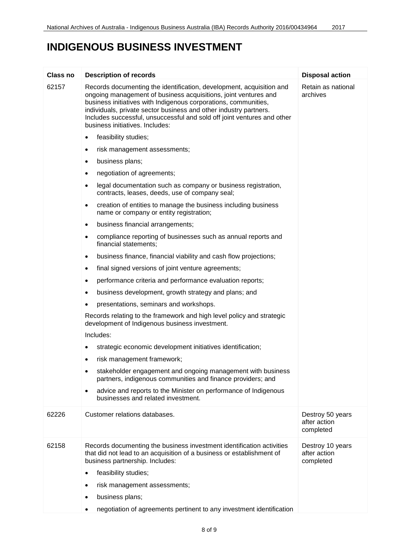### **INDIGENOUS BUSINESS INVESTMENT**

| <b>Class no</b> | <b>Description of records</b>                                                                                                                                                                                                                                                                                                                                                                 | <b>Disposal action</b>                        |
|-----------------|-----------------------------------------------------------------------------------------------------------------------------------------------------------------------------------------------------------------------------------------------------------------------------------------------------------------------------------------------------------------------------------------------|-----------------------------------------------|
| 62157           | Records documenting the identification, development, acquisition and<br>ongoing management of business acquisitions, joint ventures and<br>business initiatives with Indigenous corporations, communities,<br>individuals, private sector business and other industry partners.<br>Includes successful, unsuccessful and sold off joint ventures and other<br>business initiatives. Includes: | Retain as national<br>archives                |
|                 | feasibility studies;<br>$\bullet$                                                                                                                                                                                                                                                                                                                                                             |                                               |
|                 | risk management assessments;<br>٠                                                                                                                                                                                                                                                                                                                                                             |                                               |
|                 | business plans;<br>٠                                                                                                                                                                                                                                                                                                                                                                          |                                               |
|                 | negotiation of agreements;                                                                                                                                                                                                                                                                                                                                                                    |                                               |
|                 | legal documentation such as company or business registration,<br>contracts, leases, deeds, use of company seal;                                                                                                                                                                                                                                                                               |                                               |
|                 | creation of entities to manage the business including business<br>٠<br>name or company or entity registration;                                                                                                                                                                                                                                                                                |                                               |
|                 | business financial arrangements;<br>$\bullet$                                                                                                                                                                                                                                                                                                                                                 |                                               |
|                 | compliance reporting of businesses such as annual reports and<br>financial statements;                                                                                                                                                                                                                                                                                                        |                                               |
|                 | business finance, financial viability and cash flow projections;<br>$\bullet$                                                                                                                                                                                                                                                                                                                 |                                               |
|                 | final signed versions of joint venture agreements;<br>$\bullet$                                                                                                                                                                                                                                                                                                                               |                                               |
|                 | performance criteria and performance evaluation reports;                                                                                                                                                                                                                                                                                                                                      |                                               |
|                 | business development, growth strategy and plans; and                                                                                                                                                                                                                                                                                                                                          |                                               |
|                 | presentations, seminars and workshops.                                                                                                                                                                                                                                                                                                                                                        |                                               |
|                 | Records relating to the framework and high level policy and strategic<br>development of Indigenous business investment.                                                                                                                                                                                                                                                                       |                                               |
|                 | Includes:                                                                                                                                                                                                                                                                                                                                                                                     |                                               |
|                 | strategic economic development initiatives identification;                                                                                                                                                                                                                                                                                                                                    |                                               |
|                 | risk management framework;                                                                                                                                                                                                                                                                                                                                                                    |                                               |
|                 | stakeholder engagement and ongoing management with business<br>$\bullet$<br>partners, indigenous communities and finance providers; and                                                                                                                                                                                                                                                       |                                               |
|                 | advice and reports to the Minister on performance of Indigenous<br>$\bullet$<br>businesses and related investment.                                                                                                                                                                                                                                                                            |                                               |
| 62226           | Customer relations databases.                                                                                                                                                                                                                                                                                                                                                                 | Destroy 50 years<br>after action<br>completed |
| 62158           | Records documenting the business investment identification activities<br>that did not lead to an acquisition of a business or establishment of<br>business partnership. Includes:                                                                                                                                                                                                             | Destroy 10 years<br>after action<br>completed |
|                 | feasibility studies;<br>٠                                                                                                                                                                                                                                                                                                                                                                     |                                               |
|                 | risk management assessments;                                                                                                                                                                                                                                                                                                                                                                  |                                               |
|                 | business plans;<br>٠                                                                                                                                                                                                                                                                                                                                                                          |                                               |
|                 | negotiation of agreements pertinent to any investment identification                                                                                                                                                                                                                                                                                                                          |                                               |